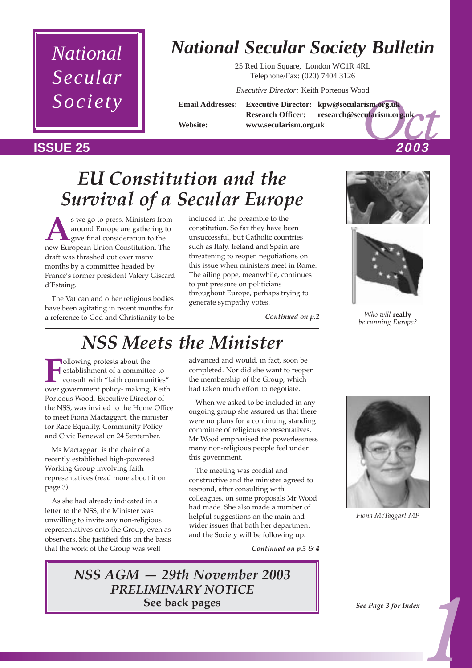

## *National Secular Society Bulletin*

25 Red Lion Square, London WC1R 4RL Telephone/Fax: (020) 7404 3126

*Executive Director:* Keith Porteous Wood

rism.org.uk<br>cularism.org.uk<br>2003 **Email Addresses: Executive Director: kpw@secularism.org.uk Research Officer: research@secularism.org.uk Website: www.secularism.org.uk**

#### **ISSUE 25 2003**

## *EU Constitution and the Survival of a Secular Europe*

s we go to press, Ministers from<br>
around Europe are gathering to<br>
give final consideration to the<br>
new European Union Constitution The around Europe are gathering to give final consideration to the new European Union Constitution. The draft was thrashed out over many months by a committee headed by France's former president Valery Giscard d'Estaing.

The Vatican and other religious bodies have been agitating in recent months for a reference to God and Christianity to be included in the preamble to the constitution. So far they have been unsuccessful, but Catholic countries such as Italy, Ireland and Spain are threatening to reopen negotiations on this issue when ministers meet in Rome. The ailing pope, meanwhile, continues to put pressure on politicians throughout Europe, perhaps trying to generate sympathy votes.

*Continued on p.2*

## *NSS Meets the Minister*

**Following protests about the** establishment of a committee to consult with "faith communities" over government policy- making, Keith Porteous Wood, Executive Director of the NSS, was invited to the Home Office to meet Fiona Mactaggart, the minister for Race Equality, Community Policy and Civic Renewal on 24 September.

Ms Mactaggart is the chair of a recently established high-powered Working Group involving faith representatives (read more about it on page 3).

As she had already indicated in a letter to the NSS, the Minister was unwilling to invite any non-religious representatives onto the Group, even as observers. She justified this on the basis that the work of the Group was well

advanced and would, in fact, soon be completed. Nor did she want to reopen the membership of the Group, which had taken much effort to negotiate.

When we asked to be included in any ongoing group she assured us that there were no plans for a continuing standing committee of religious representatives. Mr Wood emphasised the powerlessness many non-religious people feel under this government.

The meeting was cordial and constructive and the minister agreed to respond, after consulting with colleagues, on some proposals Mr Wood had made. She also made a number of helpful suggestions on the main and wider issues that both her department and the Society will be following up.

*Continued on p.3 & 4*





*Who will* **really** *be running Europe?*



*Fiona McTaggart MP*

*NSS AGM – 29th November 2003 PRELIMINARY NOTICE* **See back pages**

*1 See Page 3 for Index*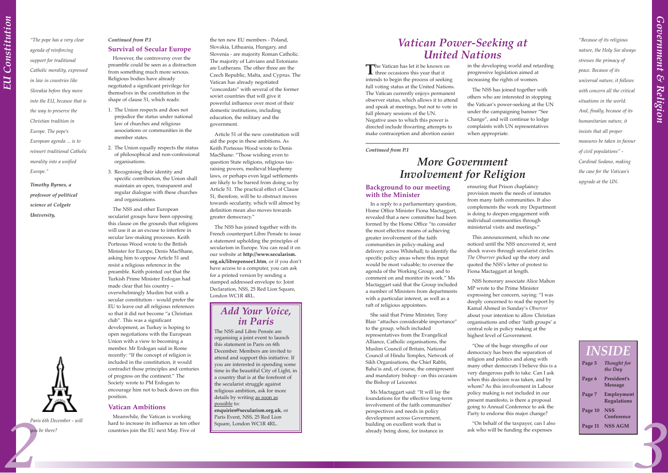#### **Background to our meeting with the Minister**

In a reply to a parliamentary question, Home Office Minister Fiona Mactaggart, revealed that a new committee had been formed by the Home Office "to consider the most effective means of achieving greater involvement of the faith communities in policy-making and delivery across Whitehall; to identify the specific policy areas where this input would be most valuable; to oversee the agenda of the Working Group, and to comment on and monitor its work." Ms Mactaggart said that the Group included a number of Ministers from departments with a particular interest, as well as a raft of religious appointees.

Ms Mactaggart said: "It will lay the foundations for the effective long-term involvement of the faith communities' perspectives and needs in policy development across Government, building on excellent work that is already being done, for instance in

ensuring that Prison chaplaincy provision meets the needs of inmates from many faith communities. It also complements the work my Department is doing to deepen engagement with individual communities through ministerial visits and meetings.<sup>'</sup>

She said that Prime Minister, Tony Blair "attaches considerable importance" to the group, which included representatives from the Evangelical Alliance, Catholic organisations, the Muslim Council of Britain, National Council of Hindu Temples, Network of Sikh Organisations, the Chief Rabbi, Baha'is and, of course, the omnipresent and mandatory bishop - on this occasion the Bishop of Leicester.

"One of the huge strengths of our democracy has been the separation of religion and politics and along with many other democrats I believe this is a very dangerous path to take. Can I ask when this decision was taken, and by whom? As this involvement in Labour policy making is not included in our present manifesto, is there a proposal going to Annual Conference to ask the Party to endorse this major change?

This announcement, which no one noticed until the NSS uncovered it, sent shock waves through secularist circles. *The Observer* picked up the story and quoted the NSS's letter of protest to Fiona Mactaggart at length.

NSS honorary associate Alice Mahon MP wrote to the Prime Minister expressing her concern, saying: "I was deeply concerned to read the report by Kamal Ahmed in Sundayís *Observer* about your intention to allow Christian organisations and other 'faith groups' a central role in policy making at the highest level of Government.

Paris 6th December - will<br>
Meanwhile, the Valuan is vorking<br>
and to increase its influence as ten other<br>
Square, London WCIR 4RL.<br>
<br>
you be there?<br>
<br>
you be there?<br>
<br>
you be there?<br>
<br>
you be there?<br>
<br>
you be there are star Meanwhile, the Vatican is working hard to increase its influence as ten other countries join the EU next May. Five of

Article 51 of the new constitution will aid the pope in these ambitions. As Keith Porteous Wood wrote to Denis MacShane: "Those wishing even to question State religions, religious taxraising powers, medieval blasphemy laws, or perhaps even legal settlements are likely to be barred from doing so by Article 51. The practical effect of Clause 51, therefore, will be to obstruct moves towards secularity, which will almost by definition mean also moves towards greater democracy."

> ìOn behalf of the taxpayer, can I also ask who will be funding the expenses

#### *Continued from P.1* **Survival of Secular Europe**

However, the controversy over the preamble could be seen as a distraction from something much more serious. Religious bodies have already negotiated a significant privilege for themselves in the constitution in the shape of clause 51, which reads:

- 1. The Union respects and does not prejudice the status under national law of churches and religious associations or communities in the member states.
- 2. The Union equally respects the status of philosophical and non-confessional organisations.
- 3. Recognising their identity and specific contribution, the Union shall maintain an open, transparent and regular dialogue with these churches and organizations.

**The Vatican has let it be known on**<br>three occasions this year that it intends to begin the process of seeking full voting status at the United Nations. The Vatican currently enjoys permanent observer status, which allows it to attend and speak at meetings, but not to vote in full plenary sessions of the UN. Negative uses to which this power is directed include thwarting attempts to make contraception and abortion easier

The NSS and other European secularist groups have been opposing this clause on the grounds that religions will use it as an excuse to interfere in secular law-making processes. Keith Porteous Wood wrote to the British Minister for Europe, Denis MacShane, asking him to oppose Article 51 and resist a religious reference in the preamble. Keith pointed out that the Turkish Prime Minister Erdogan had made clear that his country overwhelmingly Muslim but with a secular constitution - would prefer the EU to leave out all religious references so that it did not become "a Christian club". This was a significant development, as Turkey is hoping to open negotiations with the European Union with a view to becoming a member. Mr Erdogan said in Rome recently: "If the concept of religion is included in the constitution, it would contradict those principles and centuries of progress on the continent." The Society wrote to PM Erdogan to encourage him not to back down on this position.

The NSS and Libre Pensée are organising a joint event to launch this statement in Paris on 6th December. Members are invited to attend and support this initiative. If you are interested in spending some time in the beautiful City of Light, in a country that is at the forefront of the secularist struggle against religious ambition, ask for more details by writing as soon as possible to: **enquiries@secularism.org.uk**, or Paris Event, NSS, 25 Red Lion Square, London WC1R 4RL.

#### **Vatican Ambitions**

the ten new EU members - Poland, Slovakia, Lithuania, Hungary, and Slovenia - are majority Roman Catholic. The majority of Latvians and Estonians are Lutherans. The other three are the Czech Republic, Malta, and Cyprus. The Vatican has already negotiated "concordats" with several of the former soviet countries that will give it powerful influence over most of their domestic institutions, including education, the military and the government.

The NSS has joined together with its French counterpart Libre Pensée to issue a statement upholding the principles of secularism in Europe. You can read it on our website at **http://www.secularism. org.uk/librepensee1.htm**, or if you donít have access to a computer, you can ask for a printed version by sending a stamped addressed envelope to: Joint Declaration, NSS, 25 Red Lion Square, London WC1R 4RL.

in the developing world and retarding progressive legislation aimed at increasing the rights of women.

The NSS has joined together with others who are interested in stopping the Vatican's power-seeking at the UN under the campaigning banner "See Change", and will continue to lodge complaints with UN representatives when appropriate.

## *Vatican Power-Seeking at United Nations*

*ìBecause of its religious nature, the Holy See always stresses the primacy of peace. Because of its universal nature, it follows with concern all the critical situations in the world. And, finally, because of its humanitarian nature, it insists that all proper measures be taken in favour of civil populationsî - Cardinal Sodano, making the case for the Vaticanís upgrade at the UN.*

*Continued from P.1*

## *More Government Involvement for Religion*

## *INSIDE*

| Page 5  | Thought for<br>the Day           |
|---------|----------------------------------|
| Page 6  | President's<br><b>Message</b>    |
| Page 7  | Employment<br><b>Regulations</b> |
| Page 10 | <b>NSS</b><br>Conference         |
| Page 11 | <b>NSS AGM</b>                   |

*ìThe pope has a very clear agenda of reinforcing support for traditional Catholic morality, expressed in law in countries like Slovakia before they move into the EU, because that is the way to preserve the Christian tradition in Europe. The popeís European agenda ... is to reinsert traditional Catholic morality into a unified Europe.î*

*Timothy Byrnes, a professor of political science at Colgate University,*



*Paris 6th December - will*

*you be there?*

#### *Add Your Voice, in Paris*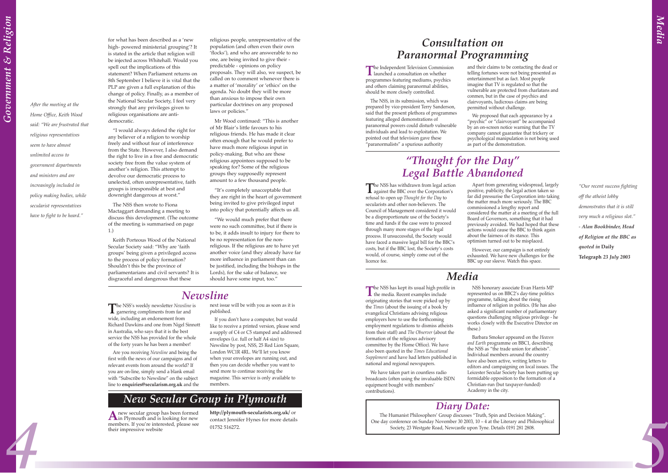for what has been described as a 'new high- powered ministerial grouping? It is stated in the article that religion will be injected across Whitehall. Would you spell out the implications of this statement? When Parliament returns on 8th September I believe it is vital that the PLP are given a full explanation of this change of policy. Finally, as a member of the National Secular Society, I feel very strongly that any privileges given to religious organisations are antidemocratic.

ìI would always defend the right for any believer of a religion to worship freely and without fear of interference from the State. However, I also demand the right to live in a free and democratic society free from the value system of another's religion. This attempt to devolve our democratic process to unelected, often unrepresentative, faith groups is irresponsible at best and downright dangerous at worst."

religious people, unrepresentative of the population (and often even their own 'flocks'), and who are answerable to no one, are being invited to give their predictable - opinions on policy proposals. They will also, we suspect, be called on to comment whenever there is a matter of 'morality' or 'ethics' on the agenda. No doubt they will be more than anxious to impose their own particular doctrines on any proposed laws or policies."

The NSS then wrote to Fiona Mactaggart demanding a meeting to discuss this development. (The outcome of the meeting is summarised on page 1.)

Mr Wood continued: "This is another of Mr Blairís little favours to his religious friends. He has made it clear often enough that he would prefer to have much more religious input in policy-making. But who are these religious appointees supposed to be speaking for? Some of the religious groups they supposedly represent amount to a few thousand people.

"It's completely unacceptable that they are right in the heart of government being invited to give privileged input into policy that potentially affects us all.

"We would much prefer that there were no such committee, but if there is to be, it adds insult to injury for there to be no representation for the nonreligious. If the religious are to have yet another voice (and they already have far more influence in parliament than can be justified, including the bishops in the Lords), for the sake of balance, we should have some input, too."

Keith Porteous Wood of the National Secular Society said: "Why are 'faith groupsí being given a privileged access to the process of policy formation? Shouldn't this be the province of parliamentarians and civil servants? It is disgraceful and dangerous that these

**The Independent Television Commission**<br>
launched a consultation on whether programmes featuring mediums, psychics and others claiming paranormal abilities, should be more closely controlled.

The NSS, in its submission, which was prepared by vice-president Terry Sanderson, said that the present plethora of programmes featuring alleged demonstrations of paranormal powers could disturb vulnerable individuals and lead to exploitation. We pointed out that television gave these "paranormalists" a spurious authority

The NSS has withdrawn from legal action<br>against the BBC over the Corporation's refusal to open up *Thought for the Day* to secularists and other non-believers. The Council of Management considered it would be a disproportionate use of the Society's time and funds if the case were to proceed through many more stages of the legal process. If unsuccessful, the Society would have faced a massive legal bill for the BBC's costs, but if the BBC lost, the Society's costs would, of course, simply come out of the licence fee.

## *ìThought for the Dayî Legal Battle Abandoned*

*ìOur recent success fighting off the atheist lobby demonstrates that it is still very much a religious slot.î - Alan Bookbinder, Head of Religion at the BBC as quoted in* **Daily Telegraph** *23 July 2003*

The NSS has kept its usual high profile in<br>the media. Recent examples include originating stories that were picked up by the *Times* (about the issuing of a book by evangelical Christians advising religious employers how to use the forthcoming employment regulations to dismiss atheists from their staff) and *The Observer* (about the formation of the religious advisory committee by the Home Office). We have also been quoted in the *Times Educational Supplement* and have had letters published in national and regional newspapers.

## *Consultation on Paranormal Programming*

A new secular group has been formed<br>in Plymouth and is looking for new members. If you're interested, please see their impressive website

*Home Office, Keith Wood* said: "We are frustrated that *religious representatives seem to have almost unlimited access to government departments and ministers and are increasingly included in policy making bodies, while secularist representatives* have to fight to be heard.<sup>"</sup>

and their claims to be contacting the dead or telling fortunes were not being presented as entertainment but as fact. Most people imagine that TV is regulated so that the vulnerable are protected from charlatans and conmen, but in the case of psychics and clairvoyants, ludicrous claims are being permitted without challenge.

We proposed that each appearance by a "psychic" or "clairvoyant" be accompanied by an on-screen notice warning that the TV company cannot guarantee that trickery or psychological manipulation is not being used as part of the demonstration.

If you don't have a computer, but would like to receive a printed version, please send a supply of C4 or C5 stamped and addressed envelopes (i.e. full or half A4 size) to Newsline by post, NSS, 25 Red Lion Square, London WC1R 4RL. We'll let you know when your envelopes are running out, and then you can decide whether you want to send more to continue receiving the magazine. This service is only available to members.

*4 5* The Humanist Philosophers' Group discusses "Truth, Spin and Decision Making". One day conference on Sunday November 30 2003,  $10 - 4$  at the Literary and Philosophical Society, 23 Westgate Road, Newcastle upon Tyne. Details 0191 281 2808.

Apart from generating widespread, largely positive, publicity, the legal action taken so far did pressurise the Corporation into taking the matter much more seriously. The BBC commissioned a lengthy report and considered the matter at a meeting of the full Board of Governors, something that it had previously avoided. We had hoped that these actions would cause the BBC to think again about the fairness of its stance. This optimism turned out to be misplaced.

However, our campaign is not entirely exhausted. We have new challenges for the BBC up our sleeve. Watch this space.

# *Media*

We have taken part in countless radio broadcasts (often using the invaluable ISDN equipment bought with members' contributions).

NSS honorary associate Evan Harris MP represented us on BBC2's day-time politics programme, talking about the rising influence of religion in politics. (He has also asked a significant number of parliamentary questions challenging religious privilege - he works closely with the Executive Director on these.) Barbara Smoker appeared on the *Heaven*

*and Earth* programme on BBC1, describing the NSS as "the trade union for atheists". Individual members around the country have also been active, writing letters to editors and campaigning on local issues. The Leicester Secular Society has been putting up formidable opposition to the formation of a Christian-run (but taxpayer-funded) Academy in the city.

### *New Secular Group in Plymouth*

**http://plymouth-secularists.org.uk/** or contact Jennifer Hynes for more details 01752 516272.

*After the meeting at the*

### *Newsline*

**T**he NSSís weekly newsletter *Newsline* is garnering compliments from far and wide, including an endorsement from Richard Dawkins and one from Nigel Sinnott in Australia, who says that it is the best service the NSS has provided for the whole of the forty years he has been a member!

Are you receiving *Newsline* and being the first with the news of our campaigns and of relevant events from around the world? If you are on-line, simply send a blank email with "Subscribe to Newsline" on the subject line to **enquiries@secularism.org.uk** and the next issue will be with you as soon as it is published.

## *Diary Date:*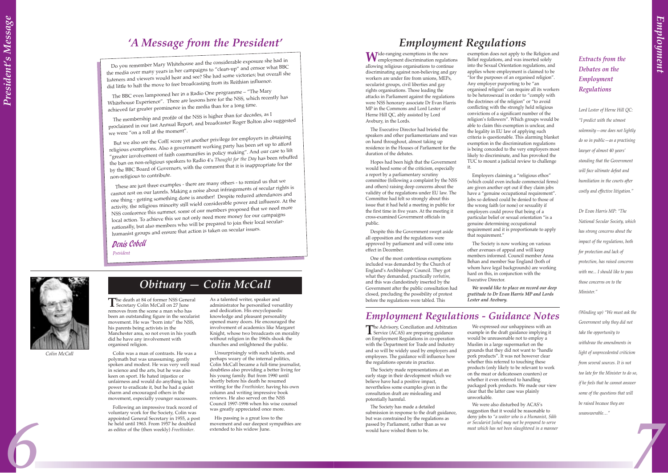## *A Message from the President'*

Do you remember Mary Whitehouse and the considerable exposure she had in the media over many years in her campaigns to "clean-up" and censor what BBC listeners and viewers would hear and see? She had some victories; but overall she did little to halt the move to free broadcasting from its Reithian influence.

The BBC even lampooned her in a Radio One programme - "The Mary Whitehouse Experience". There are lessons here for the NSS, which recently has achieved far greater prominence in the media than for a long time.

The membership and profile of the NSS is higher than for decades, as I proclaimed in our last Annual Report, and broadcaster Roger Bolton also suggeste<sup>d</sup> we were "on a roll at the moment".

But we also see the CofE score yet another privilege for employers in obtaining religious exemptions. Also a government working party has been set up to afford <sup>2</sup>greater involvement of faith communities in policy making". And our case to lift the ban on non-religious speakers to Radio 4ís *Thought for the Day* has been rebuffed by the BBC Board of Governors, with the comment that it is inappropriate for the non-religious to contribute.

The death at 84 of former NSS General<br>
Secretary Colin McCall on 27 June removes from the scene a man who has been an outstanding figure in the secularist movement. He was "born into" the NSS, his parents being activists in the Manchester area, so not even in his youth did he have any involvement with organised religion.

*6 7* Following an impressive track record of voluntary work for the Society, Colin was appointed General Secretary in 1955, a post he held until 1963. From 1957 he doubled as editor of the (then weekly) *Freethinker*.

These are just three examples - there are many others - to remind us that we cannot rest on our laurels. Making a noise about infringements of secular rights is one thing - getting something done is another! Despite reduced attendances and activity, the religious minority still wield considerable power and influence. At the NSS conference this summer, some of our members proposed that we need more local action. To achieve this we not only need more money for our campaigns nationally, but also members who will be prepared to join their local secularhumanist groups and ensure that action is taken on secular issues.

#### Denis Cobell

*President*

President's Message *Presidentís Message*

W<sup>ide-ranging</sup> exemptions in the new<br>
employment discrimination regulations allowing religious organisations to continue discriminating against non-believing and gay workers are under fire from unions, MEPs, secularist groups, civil liberties and gay rights organisations. Those leading the attacks in Parliament against the regulations were NSS honorary associate Dr Evan Harris MP in the Commons and Lord Lester of Herne Hill QC, ably assisted by Lord Avebury, in the Lords.

Colin was a man of contrasts. He was a polymath but was unassuming, gently spoken and modest. He was very well read in science and the arts, but he was also keen on sport. He hated injustice or unfairness and would do anything in his power to eradicate it, but he had a quiet charm and encouraged others in the movement, especially younger successors.

As a talented writer, speaker and administrator he personified versatility and dedication. His encyclopaedic knowledge and pleasant personality opened many doors. He encouraged the involvement of academics like Margaret Knight, whose two broadcasts on morality without religion in the 1960s shook the churches and enlightened the public.

Unsurprisingly with such talents, and perhaps weary of the internal politics, Colin McCall became a full-time journalist, doubtless also providing a better living for his young family. But from 1990 until shortly before his death he resumed writing for the *Freethinker,* having his own column and writing impressive book reviews. He also served on the NSS Council 1997-1998 when his wise counsel was greatly appreciated once more.

His passing is a great loss to the movement and our deepest sympathies are extended to his widow June.

The Advisory, Conciliation and Arbitration<br>
Service (ACAS) are preparing guidance on Employment Regulations in co-operation with the Department for Trade and Industry and so will be widely used by employers and employees. The guidance will influence how the regulations operate in practice.



*Colin McCall*

## $\overline{Obituary}$  – Colin McCall

We were also disturbed by ACAS's suggestion that it would be reasonable to deny jobs to *ìa waiter who is a Humanist, Sikh or Secularist [who] may not be prepared to serve meat which has not been slaughtered in a manner*

The Executive Director had briefed the speakers and other parliamentarians and was on hand throughout, almost taking up residence in the Houses of Parliament for the duration of the debates.

> Dr Evan Harris MP: "The *National Secular Society, which has strong concerns about the impact of the regulations, both for protection and lack of protection, has raised concerns with me... I should like to pass those concerns on to the Minister.î*

*(Winding up)* "We must ask the *Government why they did not take the opportunity to withdraw the amendments in light of unprecedented criticism from several sources. It is not too late for the Minister to do so, if he feels that he cannot answer some of the questions that will be raised because they are unanswerable...*"

Hopes had been high that the Government would heed some of the criticism, especially a report by a parliamentary scrutiny committee (following a complaint by the NSS and others) raising deep concerns about the validity of the regulations under EU law. The Committee had felt so strongly about this issue that it had held a meeting in public for the first time in five years. At the meeting it cross-examined Government officials in public.

Despite this the Government swept aside all opposition and the regulations were approved by parliament and will come into effect in December.

One of the most contentious exemptions included was demanded by the Church of England's Archbishops' Council. They got what they demanded, practically *verbatim*, and this was clandestinely inserted by the Government after the public consultation had closed, precluding the possibility of protest before the regulations were tabled. This

exemption does not apply to the Religion and Belief regulations, and was inserted solely into the Sexual Orientation regulations, and applies where employment is claimed to be  $\hat{r}$  for the purposes of an organised religion". Any employer purporting to be "an organised religion" can require all its workers to be heterosexual in order to "comply with the doctrines of the religion" or "to avoid conflicting with the strongly held religious convictions of a significant number of the religion's followers". Which groups would be able to claim this exemption is unclear, and the legality in EU law of applying such criteria is questionable. This alarming blanket exemption in the discrimination regulations is being conceded to the very employers most likely to discriminate, and has provoked the TUC to mount a judicial review to challenge

Employers claiming a "religious ethos" (which could even include commercial firms) are given another opt out if they claim jobs have a "genuine occupational requirement" Jobs so defined could be denied to those of the wrong faith (or none) or sexuality if employers could prove that being of a particular belief or sexual orientation "is a genuine determining occupational requirement and it is proportionate to apply that requirement."

it.

The Society is now working on various other avenues of appeal and will keep members informed. Council member Anna Behan and member Sue England (both of whom have legal backgrounds) are working hard on this, in conjunction with the Executive Director.

*We would like to place on record our deep gratitude to Dr Evan Harris MP and Lords Lester and Avebury.*

## *Employment Regulations*

The Society made representations at an early stage in their development which we believe have had a positive impact, nevertheless some examples given in the consultation draft are misleading and potentially harmful.

The Society has made a detailed submission in response to the draft guidance, but was constrained by the regulations as passed by Parliament, rather than as we would have wished them to be.

We expressed our unhappiness with an example in the draft guidance implying it would be unreasonable not to employ a Muslim in a large supermarket on the grounds that they did not want to "handle pork products". It was not however clear whether this referred to touching these products (only likely to be relevant to work on the meat or delicatessen counters) or whether it even referred to handling packaged pork products. We made our view clear that the latter case was plainly unworkable.

*Employment Regulations - Guidance Notes*

*Extracts from the Debates on the Employment Regulations*

*Lord Lester of Herne Hill QC: ìI predict with the utmost* solemnity - one does not lightly *do so in public*—as a practising *lawyer of almost 40 yearsí standing that the Government will face ultimate defeat and humiliation in the courts after costly and effective litigation.î*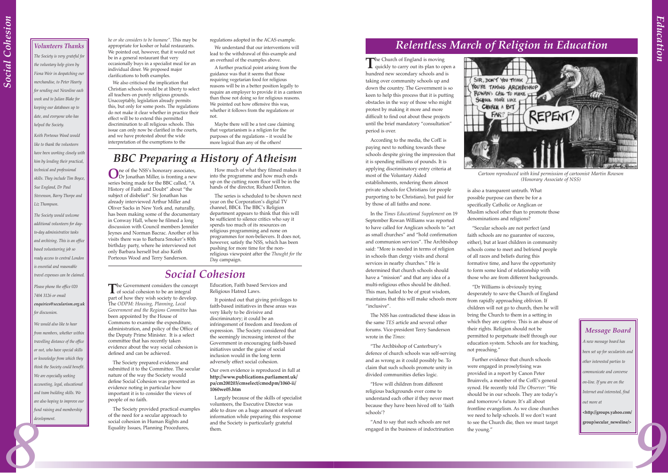**The Church of England is moving<br>quickly to carry out its plan to open a** hundred new secondary schools and is taking over community schools up and down the country. The Government is so keen to help this process that it is putting obstacles in the way of those who might protest by making it more and more difficult to find out about these projects until the brief mandatory "consultation" period is over.

In the *Times Educational Supplement* on 19 September Rowan Williams was reported to have called for Anglican schools to "act as small churches" and "hold confirmation and communion services". The Archbishop said: "More is needed in terms of religion in schools than clergy visits and choral services in nearby churches." He is determined that church schools should have a "mission" and that any idea of a multi-religious ethos should be ditched. This man, hailed to be of great wisdom, maintains that this will make schools more "inclusive".

According to the media, the CofE is paying next to nothing towards these schools despite giving the impression that it is spending millions of pounds. It is applying discriminatory entry criteria at most of the Voluntary Aided establishments, rendering them almost private schools for Christians (or people purporting to be Christians), but paid for by those of all faiths and none.

"The Archbishop of Canterbury's defence of church schools was self-serving and as wrong as it could possibly be. To claim that such schools promote unity in divided communities defies logic.

"How will children from different religious backgrounds ever come to understand each other if they never meet because they have been hived off to 'faith schools'?

"And to say that such schools are not engaged in the business of indoctrination SIR, DON'T YOU THINK ) ROWAN'S CALL TO MAKE IT SCHOOL MARE LIKE CHURCH A BIT

"Secular schools are not perfect (and faith schools are no guarantee of success, either), but at least children in community schools come to meet and befriend people of all races and beliefs during this formative time, and have the opportunity to form some kind of relationship with those who are from different backgrounds.

ìDr Williams is obviously trying desperately to save the Church of England from rapidly approaching oblivion. If children will not go to church, then he will bring the Church to them in a setting in which they are captive. This is an abuse of their rights. Religion should not be permitted to perpetuate itself through our education system. Schools are for teaching, not preaching."

Further evidence that church schools were engaged in proselytising was provided in a report by Canon Peter Bruinvels, a member of the CofE's general synod. He recently told *The Observer*: "We should be in our schools. They are today's and tomorrow's future. It's all about frontline evangelism. As we close churches we need to help schools. If we don't want to see the Church die, then we must target the young."

The NSS has contradicted these ideas in the same *TES* article and several other forums. Vice-president Terry Sanderson wrote in the *Times*:

is also a transparent untruth. What possible purpose can there be for a specifically Catholic or Anglican or Muslim school other than to promote those denominations and religions?

The Government considers the concept<br>of social cohesion to be an integral part of how they wish society to develop. The *ODPM: Housing, Planning, Local Government and the Regions Committee* has been appointed by the House of Commons to examine the expenditure, administration, and policy of the Office of the Deputy Prime Minister. It is a select committee that has recently taken evidence about the way social cohesion is defined and can be achieved.

**O**ne of the NSSís honorary associates, Dr Jonathan Miller, is fronting a new series being made for the BBC called, "A History of Faith and Doubt" about "the subject of disbelief". Sir Jonathan has already interviewed Arthur Miller and Oliver Sacks in New York and, naturally, has been making some of the documentary in Conway Hall, where he filmed a long discussion with Council members Jennifer Jeynes and Norman Bacrac. Another of his visits there was to Barbara Smoker's 80th birthday party, where he interviewed not only Barbara herself but also Keith Porteous Wood and Terry Sanderson.

*We would also like to hear from members, whether within travelling distance of the office or not, who have special skills or knowledge from which they think the Society could benefit. We are especially seeking accounting, legal, educational and team building skills. We are also hoping to improve our fund raising and membership development.* **8** 

How much of what they filmed makes it into the programme and how much ends up on the cutting room floor will be in the hands of the director, Richard Denton.

*he or she considers to be humane*". This may be appropriate for kosher or halal restaurants. We pointed out, however, that it would not be in a general restaurant that very occasionally buys in a specialist meal for an individual diner. We proposed major clarifications to both examples.

> The series is scheduled to be shown next year on the Corporation's digital TV channel, BBC4. The BBC's Religion department appears to think that this will be sufficient to silence critics who say it spends too much of its resources on religious programming and none on programmes for non-believers. It does not, however, satisfy the NSS, which has been pushing for more time for the nonreligious viewpoint after the *Thought for the Day* campaign.

## *BBC Preparing a History of Atheism*



*Cartoon reproduced with kind permission of cartoonist Martin Rowson (Honorary Associate of NSS)*

*9* **<http://groups.yahoo.com/ group/secular\_newsline/>**

The Society prepared evidence and submitted it to the Committee. The secular nature of the way the Society would define Social Cohesion was presented as evidence noting in particular how important it is to consider the views of people of no faith.

The Society provided practical examples of the need for a secular approach to social cohesion in Human Rights and Equality Issues, Planning Procedures,

Education, Faith based Services and Religious Hatred Laws.

It pointed out that giving privileges to faith-based initiatives in these areas was very likely to be divisive and discriminatory; it could be an infringement of freedom and freedom of expression. The Society considered that the seemingly increasing interest of the Government in encouraging faith-based initiatives under the guise of social inclusion would in the long term adversely effect social cohesion.

#### Our own evidence is reproduced in full at **http://www.publications.parliament.uk/ pa/cm200203/cmselect/cmodpm/1060-ii/ 1060we05.htm**

Largely because of the skills of specialist volunteers, the Executive Director was able to draw on a huge amount of relevant information while preparing this response and the Society is particularly grateful them.

### *Social Cohesion*

#### *Volunteers Thanks*

*The Society is very grateful for the voluntary help given by Fiona Weir in despatching our merchandise, to Peter Hearty for sending out Newsline each week and to Julian Blake for keeping our databases up to date, and everyone who has helped the Society.*

*Keith Porteous Wood would like to thank the volunteers have been working closely with him by lending their practical, technical and professional skills. They include Tim Boyce, Sue England, Dr Paul Stevenson, Barry Thorpe and Liz Thompson.*

*The Society would welcome additional volunteers for dayto-day administrative tasks and archiving. This is an office based volunteering job so ready access to central London is essential and reasonable travel expenses can be claimed.* 

*Please phone the office 020 7404 3126 or email enquiries@secularism.org.uk*

*for discussion.*

## *Relentless March of Religion in Education*

We also criticised the implication that Christian schools would be at liberty to select all teachers on purely religious grounds. Unacceptably, legislation already permits this, but only for some posts. The regulations do not make it clear whether in practice their effect will be to extend this permitted discrimination to all religious schools. This issue can only now be clarified in the courts, and we have protested about the wide interpretation of the exemptions to the

regulations adopted in the ACAS example.

We understand that our interventions will lead to the withdrawal of this example and an overhaul of the examples above.

A further practical point arising from the guidance was that it seems that those requiring vegetarian food for religious reasons will be in a better position legally to require an employer to provide it in a canteen than those not doing so for religious reasons. We pointed out how offensive this was, whether it follows from the regulations or not.

Maybe there will be a test case claiming that vegetarianism is a religion for the purposes of the regulations - it would be more logical than any of the others!

#### *Message Board*

*A new message board has been set up for secularists and other interested parties to communicate and converse on-line. If you are on the Internet and interested, find out more at*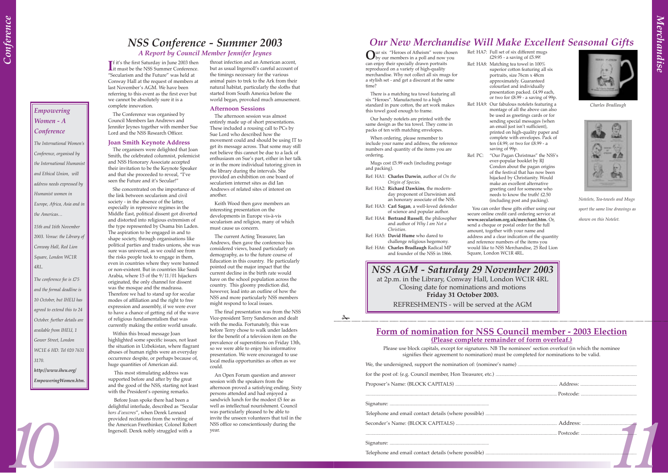## *Our New Merchandise Will Make Excellent Seasonal Gifts*

Our six "Heroes of Atheism" were chosen<br>by our members in a poll and now you can enjoy their specially drawn portraits reproduced on a variety of high-quality merchandise. Why not collect all six mugs for a stylish set - and get a discount at the same time?

There is a matching tea towel featuring all six "Heroes". Manufactured to a high standard in pure cotton, the art work makes this towel good enough to frame.

Our handy notelets are printed with the same design as the tea towel. They come in packs of ten with matching envelopes.

When ordering, please remember to include your name and address, the reference numbers and quantity of the items you are ordering.

Mugs cost £5.99 each (including postage and packing).

- Ref: HA1: **Charles Darwin**, author of *On the Origin of Species.*
- Ref: HA2: **Richard Dawkins**, the modernday proponent of Darwinism and an honorary associate of the NSS.
- Ref: HA3: **Carl Sagan**, a well-loved defender of science and popular author.
- Ref: HA4: **Bertrand Russell**, the philosopher and author of *Why I am Not a Christian.*
- Ref: HA5: **David Hume** who dared to challenge religious hegemony. Ref: HA6: **Charles Bradlaugh** Radical MP
	- and founder of the NSS in 1866.

 $\mathcal{L}$ 

Ref: PC: "Our Pagan Christmas" the NSS's ever-popular booklet by RJ Condon about the pagan origins of the festival that has now been hijacked by Christianity. Would make an excellent alternative greeting card for someone who needs to know the truth! £2.50 (including post and packing).

Please use block capitals, except for signatures. NB The nominees' section overleaf (in which the nominee signifies their agreement to nomination) must be completed for nominations to be valid.

Ref: HA7: Full set of six different mugs £29.95 - a saving of £5.99! Ref: HA8: Matching tea towel in 100% superior cotton featuring all six portraits, size 76cm x 48cm approximately. Guaranteed colourfast and individually presentation packed. £4.99 each, or two for  $\mathcal{L}8.99$  - a saving of 99p. Ref: HA9: Our fabulous notelets featuring a montage of all the above can also be used as greetings cards or for sending special messages (when an email just isn't sufficient), printed on high-quality paper and complete with envelopes. Pack of ten £4.99, or two for £8.99 - a

saving of 99p.

You can order these gifts either using our secure online credit card ordering service at **www.secularism.org.uk/merchant.htm.** Or, send a cheque or postal order for the full amount, together with your name and address and a clear indication of the quantity and reference numbers of the items you would like to NSS Merchandise, 25 Red Lion



Square, London WC1R 4RL.

*Charles Bradlaugh*



#### **Form of nomination for NSS Council member - 2003 Election (Please complete remainder of form overleaf.)**

**I** it's the first Saturday in June 2003 then<br>it must be the NSS Summer Conference. **T** f it's the first Saturday in June 2003 then "Secularism and the Future" was held at Conway Hall at the request of members at last November's AGM. We have been referring to this event as the first ever but we cannot be absolutely sure it is a complete innovation.

The organisers were delighted that Joan Smith, the celebrated columnist, polemicist and NSS Honorary Associate accepted their invitation to be the Keynote Speaker and that she proceeded to reveal, "I've seen the Future and it's Secular!"

This most stimulating address was supported before and after by the great and the good of the NSS, starting not least with the President's opening remarks.

*Notelets, Tea-towels and Mugs sport the same line drawings as shown on this Notelet.*

*NSS AGM - Saturday 29 November 2003* at 2p.m. in the Library, Conway Hall, London WC1R 4RL Closing date for nominations and motions **Friday 31 October 2003.** REFRESHMENTS - will be served at the AGM

The Conference was organised by Council Members Ian Andrews and Jennifer Jeynes together with member Sue Lord and the NSS Research Officer.

#### **Joan Smith Keynote Address**

She concentrated on the importance of the link between secularism and civil society - in the absence of the latter, especially in repressive regimes in the Middle East, political dissent got diverted and distorted into religious extremism of the type represented by Osama bin Laden. The aspiration to be engaged in and to shape society, through organisations like political parties and trades unions, she was sure was universal, as we could see from the risks people took to engage in them, even in countries where they were banned or non-existent. But in countries like Saudi Arabia, where 15 of the 9/11/01 hijackers originated, the only channel for dissent was the mosque and the madrassa. Therefore we had to stand up for secular modes of affiliation and the right to free expression and assembly, if we were ever to have a chance of getting rid of the wave of religious fundamentalism that was currently making the entire world unsafe.

Within this broad message Joan highlighted some specific issues, not least the situation in Uzbekistan, where flagrant abuses of human rights were an everyday occurrence despite, or perhaps because of, huge quantities of American aid.

Before Joan spoke there had been a delightful interlude, described as "Secular hors d'oeuvres", when Derek Lennard provided recitations from the writing of the American Freethinker, Colonel Robert Ingersoll. Derek nobly struggled with a

throat infection and an American accent, but as usual Ingersoll's careful account of the timings necessary for the various animal pairs to trek to the Ark from their natural habitat, particularly the sloths that started from South America before the world began, provoked much amusement.

#### **Afternoon Sessions**

The afternoon session was almost entirely made up of short presentations. These included a rousing call to PCs by Sue Lord who described how the movement could and should be using IT to get its message across. That some may still not believe this cannot be due to a lack of enthusiasm on Sue's part, either in her talk or in the more individual tutoring given in the library during the intervals. She provided an exhibition on one board of secularism internet sites as did Ian Andrews of related sites of interest on another.

Keith Wood then gave members an interesting presentation on the developments in Europe vis-à-vis secularism and religion, many of which must cause us concern.

The current Acting Treasurer, Ian Andrews, then gave the conference his considered views, based particularly on demography, as to the future course of Education in this country. He particularly pointed out the major impact that the current decline in the birth rate would have on the school population across the country. This gloomy prediction did, however, lead into an outline of how the NSS and more particularly NSS members might respond to local issues.

The final presentation was from the NSS Vice-president Terry Sanderson and dealt with the media. Fortunately, this was before Terry chose to walk under ladders for the benefit of a television item on the prevalence of superstitions on Friday 13th, so we were able to enjoy his informative presentation. We were encouraged to use local media opportunities as often as we could.

An Open Forum question and answer session with the speakers from the afternoon proved a satisfying ending. Sixty persons attended and had enjoyed a sandwich lunch for the modest £5 fee as well as intellectual nourishment. Council was particularly pleased to be able to invite the unseen volunteers that toil in the NSS office so conscientiously during the year.

## *NSS Conference - Summer 2003*

#### *A Report by Council Member Jennifer Jeynes*

*Empowering Women - A Conference*

*Conference, organised by*

*and Ethical Union, will*

*The International Womenís the International Humanist address needs expressed by Europe, Africa, Asia and in 2003. Venue: the Library of*

*Humanist women in*

*15th and 16th November*

*Conway Hall, Red Lion Square, London WC1R*

*4RL.* 

*The conference fee is £75 and the formal deadline is 10 October, but IHEU has agreed to extend this to 24 October. further details are available from IHEU, 1 Gower Street, London WC1E 6 HD. Tel 020 7631*

the Americas...

*3170.*

*http://www.iheu.org/ EmpoweringWomen.htm.*